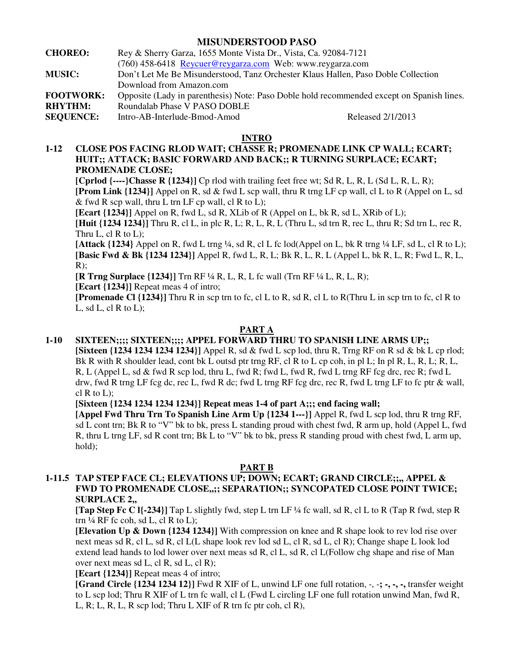## **MISUNDERSTOOD PASO**

| <b>CHOREO:</b>   | Rey & Sherry Garza, 1655 Monte Vista Dr., Vista, Ca. 92084-7121                           |                   |
|------------------|-------------------------------------------------------------------------------------------|-------------------|
|                  | (760) 458-6418 Reycuer@reygarza.com Web: www.reygarza.com                                 |                   |
| <b>MUSIC:</b>    | Don't Let Me Be Misunderstood, Tanz Orchester Klaus Hallen, Paso Doble Collection         |                   |
|                  | Download from Amazon.com                                                                  |                   |
| <b>FOOTWORK:</b> | Opposite (Lady in parenthesis) Note: Paso Doble hold recommended except on Spanish lines. |                   |
| <b>RHYTHM:</b>   | Roundalab Phase V PASO DOBLE                                                              |                   |
| <b>SEQUENCE:</b> | Intro-AB-Interlude-Bmod-Amod                                                              | Released 2/1/2013 |
|                  |                                                                                           |                   |

## **INTRO**

**1-12 CLOSE POS FACING RLOD WAIT; CHASSE R; PROMENADE LINK CP WALL; ECART; HUIT;; ATTACK; BASIC FORWARD AND BACK;; R TURNING SURPLACE; ECART; PROMENADE CLOSE;** 

**[Cprlod**  $\{\text{---}\}\$ **Chasse R**  $\{1234\}$ **]** Cp rlod with trailing feet free wt; Sd R, L, R, L (Sd L, R, L, R); **[Prom Link {1234}]** Appel on R, sd & fwd L scp wall, thru R trng LF cp wall, cl L to R (Appel on L, sd & fwd R scp wall, thru L trn LF cp wall, cl R to L);

**[Ecart {1234}]** Appel on R, fwd L, sd R, XLib of R (Appel on L, bk R, sd L, XRib of L);

**[Huit {1234 1234}]** Thru R, cl L, in plc R, L; R, L, R, L (Thru L, sd trn R, rec L, thru R; Sd trn L, rec R, Thru  $L$ , cl  $R$  to  $L$ );

[Attack {1234} Appel on R, fwd L trng ¼, sd R, cl L fc lod(Appel on L, bk R trng ¼ LF, sd L, cl R to L); **[Basic Fwd & Bk {1234 1234}]** Appel R, fwd L, R, L; Bk R, L, R, L (Appel L, bk R, L, R; Fwd L, R, L,  $R)$ ;

**[R Trng Surplace {1234}]** Trn RF ¼ R, L, R, L fc wall (Trn RF ¼ L, R, L, R);

**[Ecart {1234}]** Repeat meas 4 of intro;

**[Promenade Cl {1234}]** Thru R in scp trn to fc, cl L to R, sd R, cl L to R(Thru L in scp trn to fc, cl R to L, sd L, cl R to L);

# **PART A**

## **1-10 SIXTEEN;;;; SIXTEEN;;;; APPEL FORWARD THRU TO SPANISH LINE ARMS UP;;**

**[Sixteen {1234 1234 1234 1234}]** Appel R, sd & fwd L scp lod, thru R, Trng RF on R sd & bk L cp rlod; Bk R with R shoulder lead, cont bk L outsd ptr trng RF, cl R to L cp coh, in pl L; In pl R, L, R, L; R, L, R, L (Appel L, sd & fwd R scp lod, thru L, fwd R; fwd L, fwd R, fwd L trng RF fcg drc, rec R; fwd L drw, fwd R trng LF fcg dc, rec L, fwd R dc; fwd L trng RF fcg drc, rec R, fwd L trng LF to fc ptr & wall, cl R to L);

**[Sixteen {1234 1234 1234 1234}] Repeat meas 1-4 of part A;;; end facing wall;** 

**[Appel Fwd Thru Trn To Spanish Line Arm Up {1234 1---}]** Appel R, fwd L scp lod, thru R trng RF, sd L cont trn; Bk R to "V" bk to bk, press L standing proud with chest fwd, R arm up, hold (Appel L, fwd R, thru L trng LF, sd R cont trn; Bk L to "V" bk to bk, press R standing proud with chest fwd, L arm up, hold);

#### **PART B**

# **1-11.5 TAP STEP FACE CL; ELEVATIONS UP; DOWN; ECART; GRAND CIRCLE;;,, APPEL & FWD TO PROMENADE CLOSE,,;; SEPARATION;; SYNCOPATED CLOSE POINT TWICE; SURPLACE 2,,**

**[Tap Step Fc C l{-234}]** Tap L slightly fwd, step L trn LF ¼ fc wall, sd R, cl L to R (Tap R fwd, step R trn  $\frac{1}{4}$  RF fc coh, sd L, cl R to L);

**[Elevation Up & Down {1234 1234}]** With compression on knee and R shape look to rev lod rise over next meas sd R, cl L, sd R, cl L(L shape look rev lod sd L, cl R, sd L, cl R); Change shape L look lod extend lead hands to lod lower over next meas sd R, cl L, sd R, cl L(Follow chg shape and rise of Man over next meas sd L, cl R, sd L, cl R);

**[Ecart {1234}]** Repeat meas 4 of intro;

 **[Grand Circle {1234 1234 12}]** Fwd R XIF of L, unwind LF one full rotation, -, -**; -, -, -,** transfer weight to L scp lod; Thru R XIF of L trn fc wall, cl L (Fwd L circling LF one full rotation unwind Man, fwd R, L, R; L, R, L, R scp lod; Thru L XIF of R trn fc ptr coh, cl R),